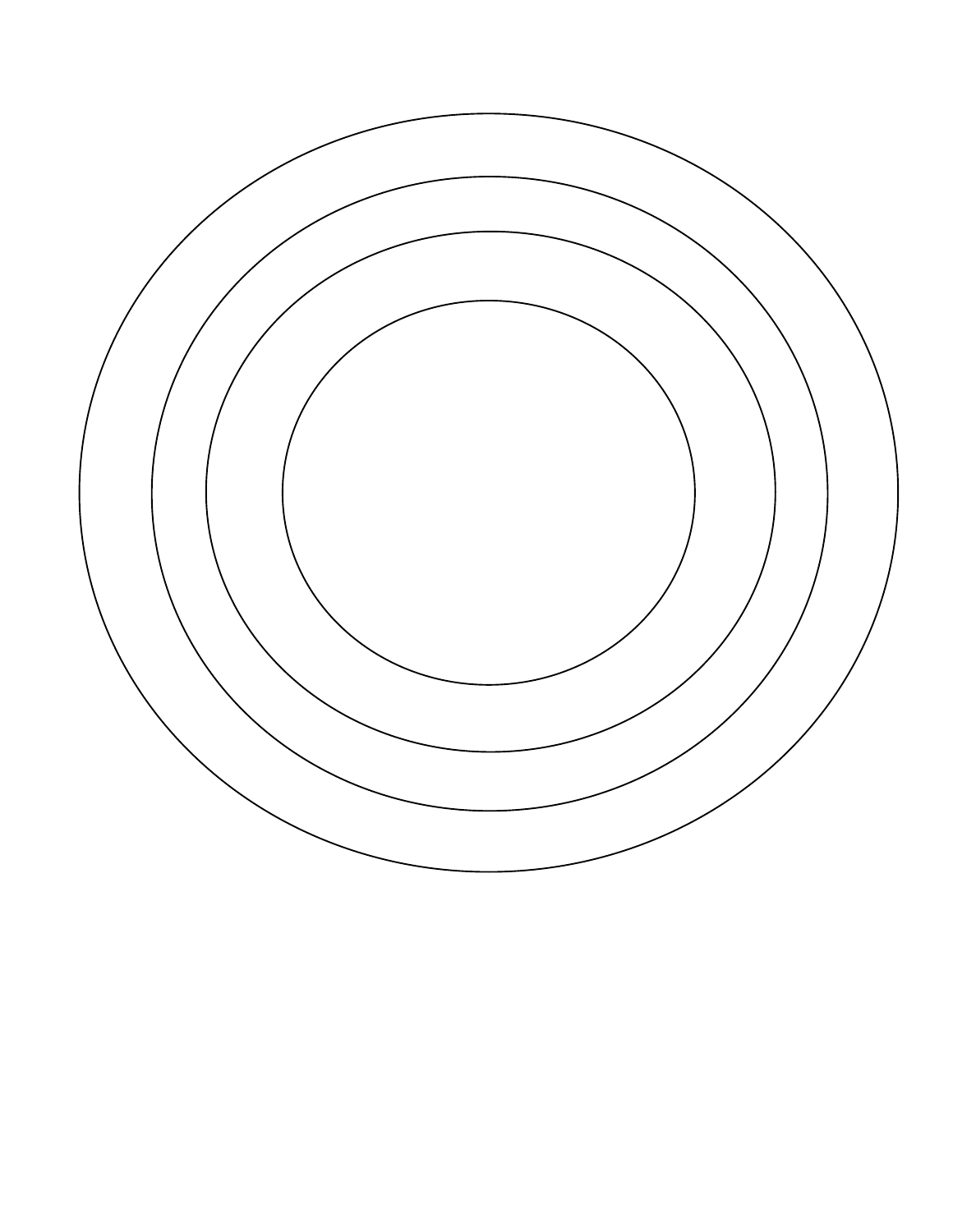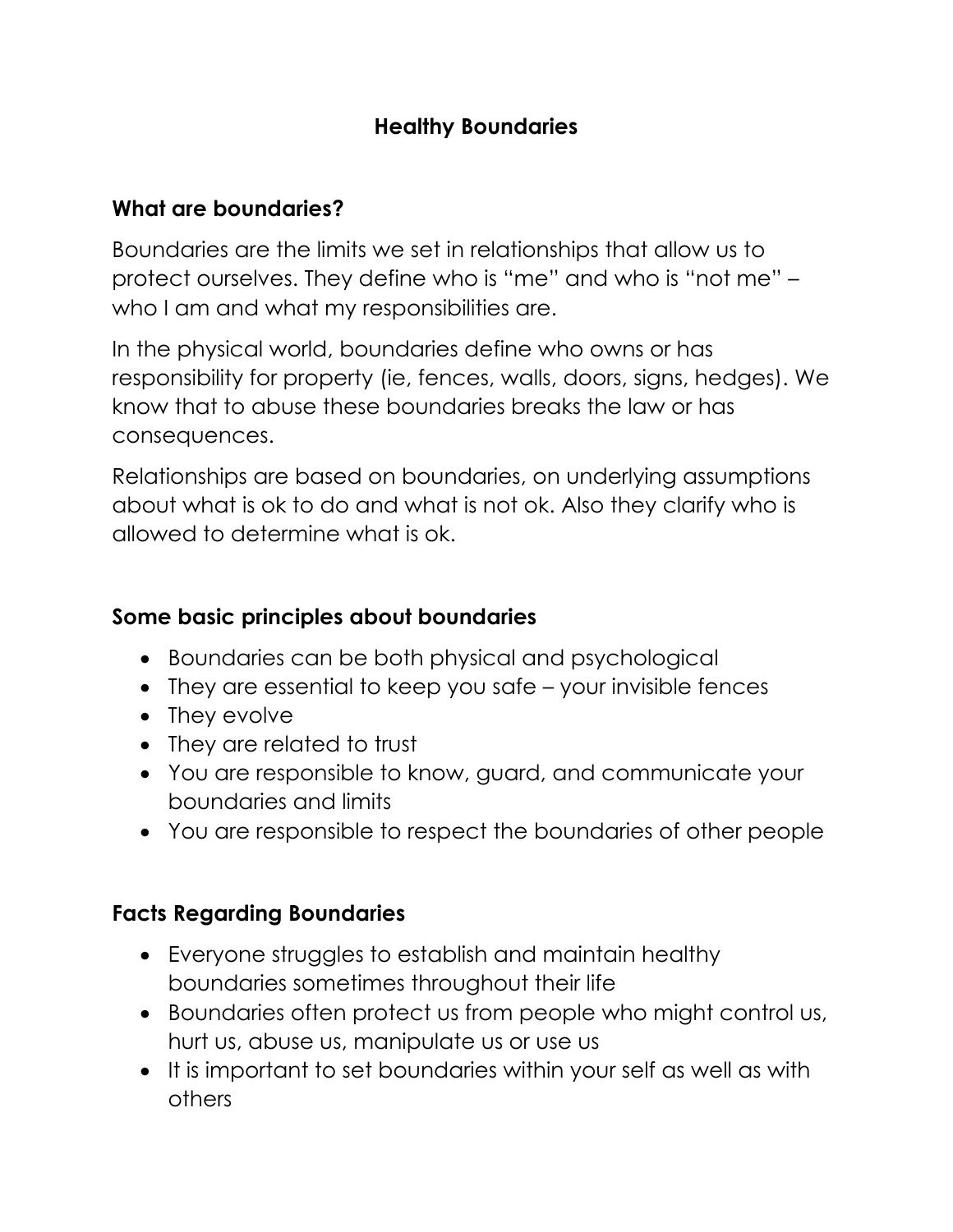# **Healthy Boundaries**

## **What are boundaries?**

Boundaries are the limits we set in relationships that allow us to protect ourselves. They define who is "me" and who is "not me" – who I am and what my responsibilities are.

In the physical world, boundaries define who owns or has responsibility for property (ie, fences, walls, doors, signs, hedges). We know that to abuse these boundaries breaks the law or has consequences.

Relationships are based on boundaries, on underlying assumptions about what is ok to do and what is not ok. Also they clarify who is allowed to determine what is ok.

## **Some basic principles about boundaries**

- Boundaries can be both physical and psychological
- They are essential to keep you safe your invisible fences
- They evolve
- They are related to trust
- You are responsible to know, guard, and communicate your boundaries and limits
- You are responsible to respect the boundaries of other people

### **Facts Regarding Boundaries**

- Everyone struggles to establish and maintain healthy boundaries sometimes throughout their life
- Boundaries often protect us from people who might control us, hurt us, abuse us, manipulate us or use us
- It is important to set boundaries within your self as well as with others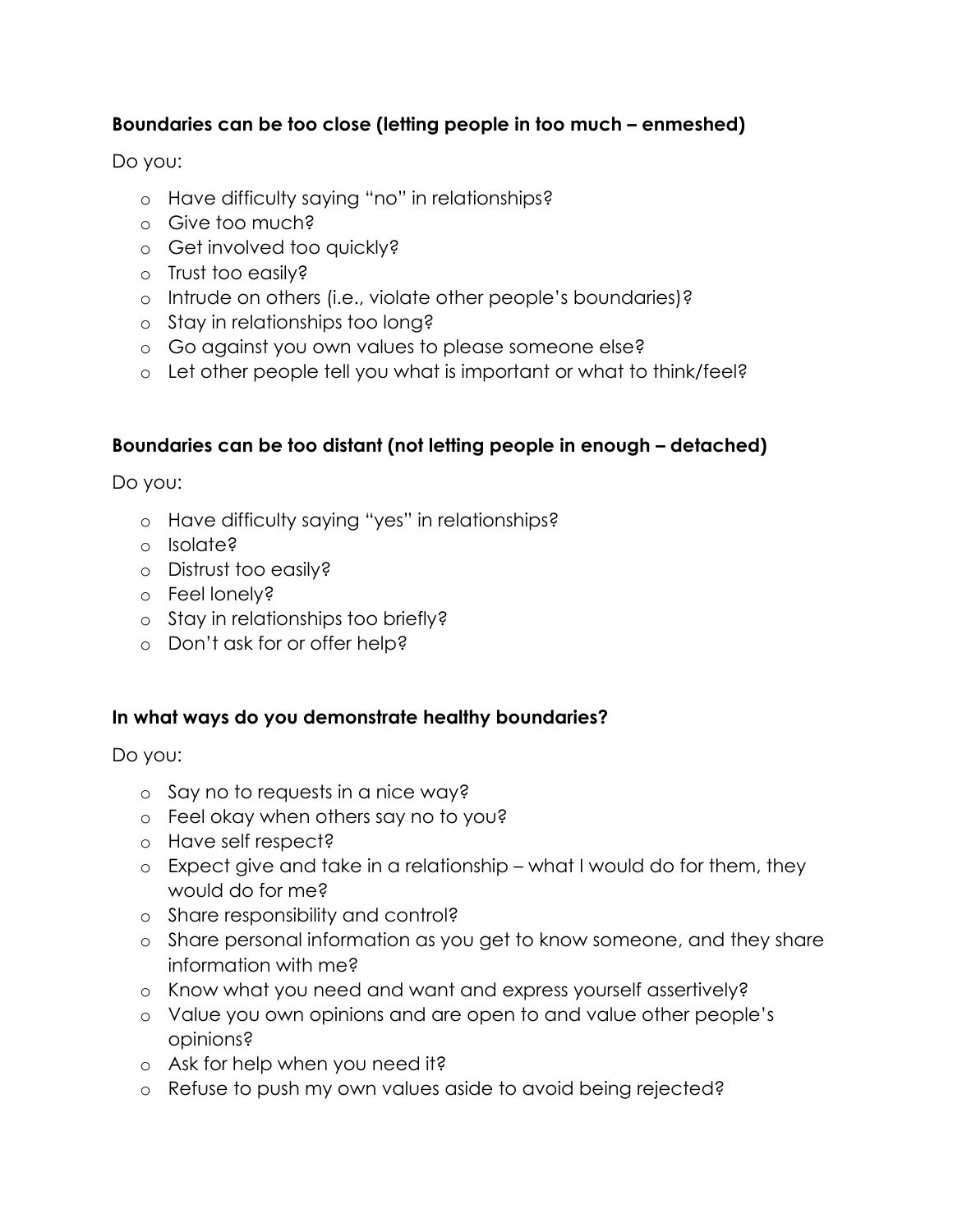#### **Boundaries can be too close (letting people in too much – enmeshed)**

Do you:

- o Have difficulty saying "no" in relationships?
- o Give too much?
- o Get involved too quickly?
- o Trust too easily?
- o Intrude on others (i.e., violate other people's boundaries)?
- o Stay in relationships too long?
- o Go against you own values to please someone else?
- o Let other people tell you what is important or what to think/feel?

#### **Boundaries can be too distant (not letting people in enough – detached)**

Do you:

- o Have difficulty saying "yes" in relationships?
- o Isolate?
- o Distrust too easily?
- o Feel lonely?
- o Stay in relationships too briefly?
- o Don't ask for or offer help?

#### **In what ways do you demonstrate healthy boundaries?**

Do you:

- o Say no to requests in a nice way?
- o Feel okay when others say no to you?
- o Have self respect?
- o Expect give and take in a relationship what I would do for them, they would do for me?
- o Share responsibility and control?
- o Share personal information as you get to know someone, and they share information with me?
- o Know what you need and want and express yourself assertively?
- o Value you own opinions and are open to and value other people's opinions?
- o Ask for help when you need it?
- o Refuse to push my own values aside to avoid being rejected?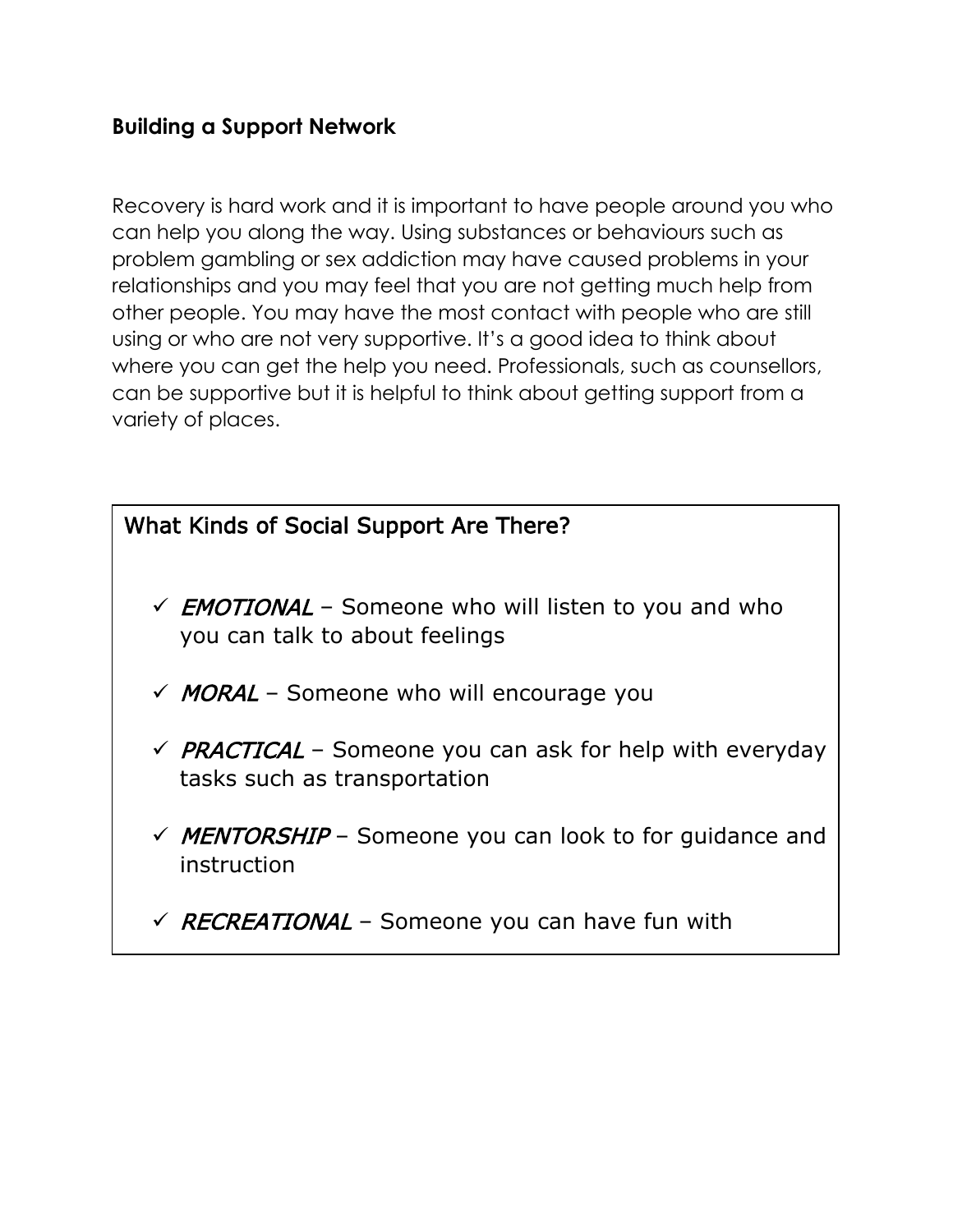# **Building a Support Network**

Recovery is hard work and it is important to have people around you who can help you along the way. Using substances or behaviours such as problem gambling or sex addiction may have caused problems in your relationships and you may feel that you are not getting much help from other people. You may have the most contact with people who are still using or who are not very supportive. It's a good idea to think about where you can get the help you need. Professionals, such as counsellors, can be supportive but it is helpful to think about getting support from a variety of places.

# What Kinds of Social Support Are There?

- $\sqrt{FMOTIONAL}$  Someone who will listen to you and who you can talk to about feelings
- $\sqrt{MC}$  Someone who will encourage you
- $\sqrt{PRACTICAL}$  Someone you can ask for help with everyday tasks such as transportation
- $\sqrt{M}\text{ENTORSHIP}$  Someone you can look to for guidance and instruction
- √ RECREATIONAL Someone you can have fun with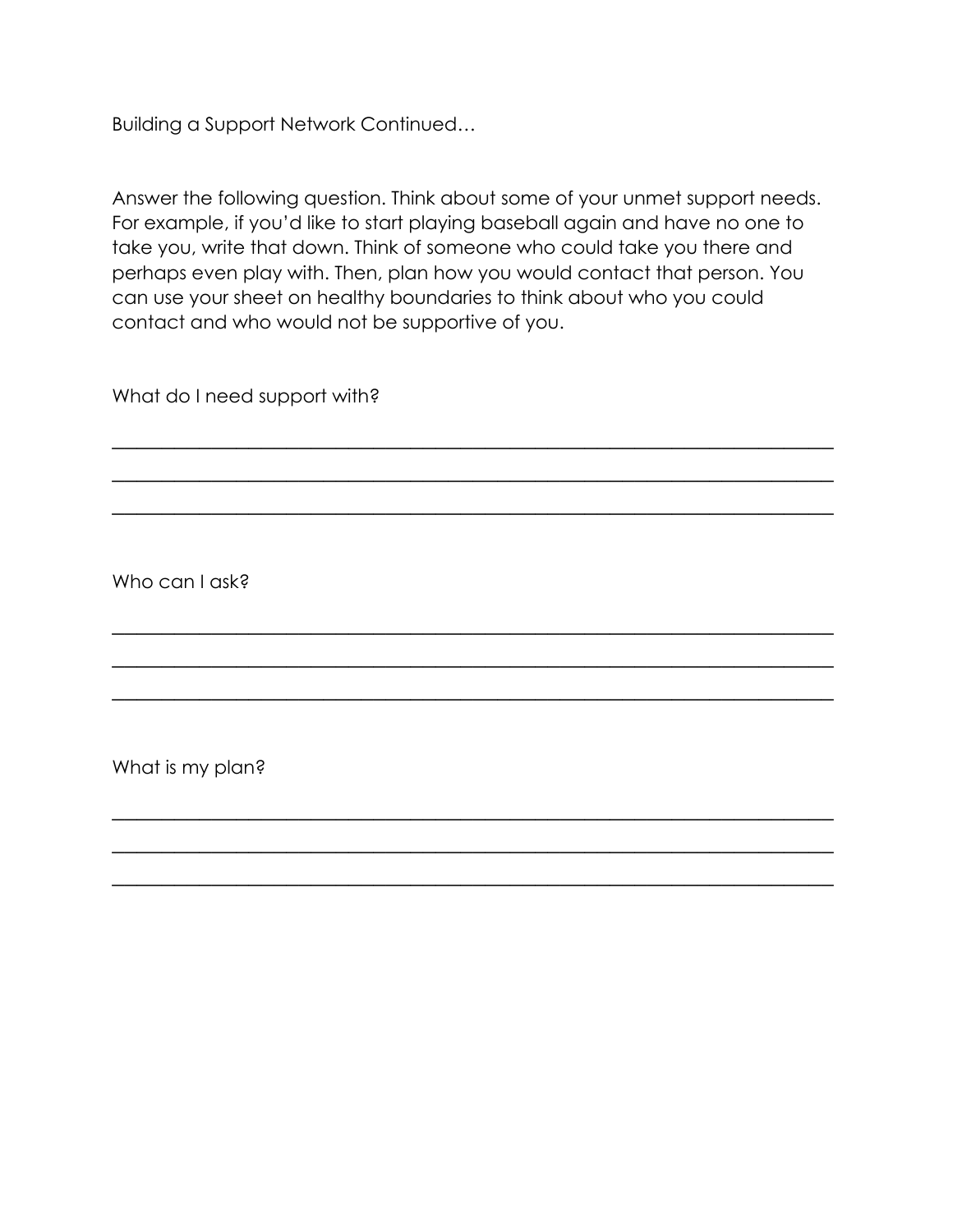Building a Support Network Continued…

Answer the following question. Think about some of your unmet support needs. For example, if you'd like to start playing baseball again and have no one to take you, write that down. Think of someone who could take you there and perhaps even play with. Then, plan how you would contact that person. You can use your sheet on healthy boundaries to think about who you could contact and who would not be supportive of you.

\_\_\_\_\_\_\_\_\_\_\_\_\_\_\_\_\_\_\_\_\_\_\_\_\_\_\_\_\_\_\_\_\_\_\_\_\_\_\_\_\_\_\_\_\_\_\_\_\_\_\_\_\_\_\_\_\_\_

\_\_\_\_\_\_\_\_\_\_\_\_\_\_\_\_\_\_\_\_\_\_\_\_\_\_\_\_\_\_\_\_\_\_\_\_\_\_\_\_\_\_\_\_\_\_\_\_\_\_\_\_\_\_\_\_\_\_

\_\_\_\_\_\_\_\_\_\_\_\_\_\_\_\_\_\_\_\_\_\_\_\_\_\_\_\_\_\_\_\_\_\_\_\_\_\_\_\_\_\_\_\_\_\_\_\_\_\_\_\_\_\_\_\_\_\_

\_\_\_\_\_\_\_\_\_\_\_\_\_\_\_\_\_\_\_\_\_\_\_\_\_\_\_\_\_\_\_\_\_\_\_\_\_\_\_\_\_\_\_\_\_\_\_\_\_\_\_\_\_\_\_\_\_\_

 $\overline{\phantom{a}}$  , and the contribution of the contribution of the contribution of the contribution of the contribution of the contribution of the contribution of the contribution of the contribution of the contribution of the

\_\_\_\_\_\_\_\_\_\_\_\_\_\_\_\_\_\_\_\_\_\_\_\_\_\_\_\_\_\_\_\_\_\_\_\_\_\_\_\_\_\_\_\_\_\_\_\_\_\_\_\_\_\_\_\_\_\_

\_\_\_\_\_\_\_\_\_\_\_\_\_\_\_\_\_\_\_\_\_\_\_\_\_\_\_\_\_\_\_\_\_\_\_\_\_\_\_\_\_\_\_\_\_\_\_\_\_\_\_\_\_\_\_\_\_\_

 $\overline{\phantom{a}}$  , and the contribution of the contribution of the contribution of the contribution of the contribution of the contribution of the contribution of the contribution of the contribution of the contribution of the

\_\_\_\_\_\_\_\_\_\_\_\_\_\_\_\_\_\_\_\_\_\_\_\_\_\_\_\_\_\_\_\_\_\_\_\_\_\_\_\_\_\_\_\_\_\_\_\_\_\_\_\_\_\_\_\_\_\_

What do I need support with?

Who can I ask?

What is my plan?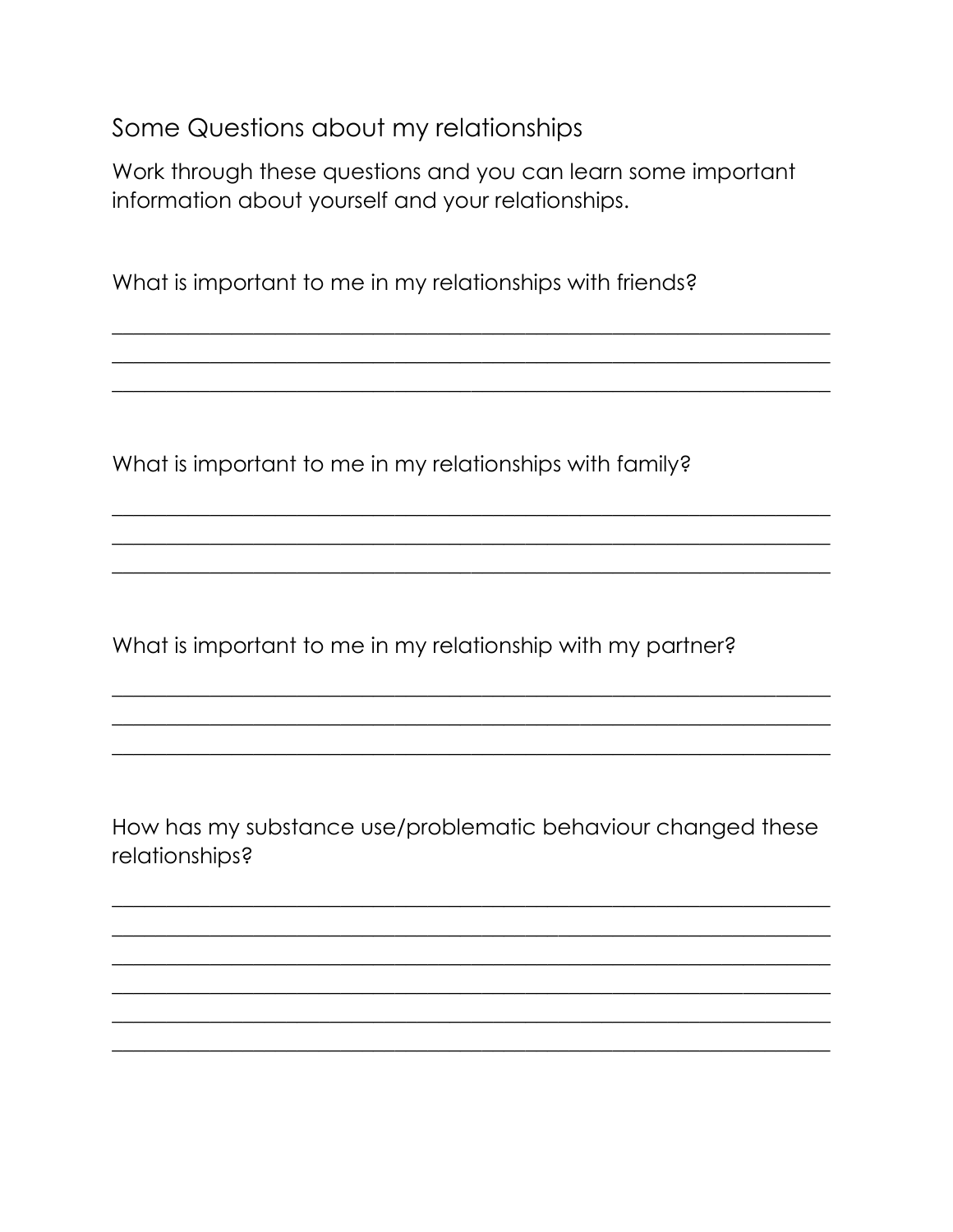Some Questions about my relationships

Work through these questions and you can learn some important information about yourself and your relationships.

What is important to me in my relationships with friends?

What is important to me in my relationships with family?

What is important to me in my relationship with my partner?

How has my substance use/problematic behaviour changed these relationships?